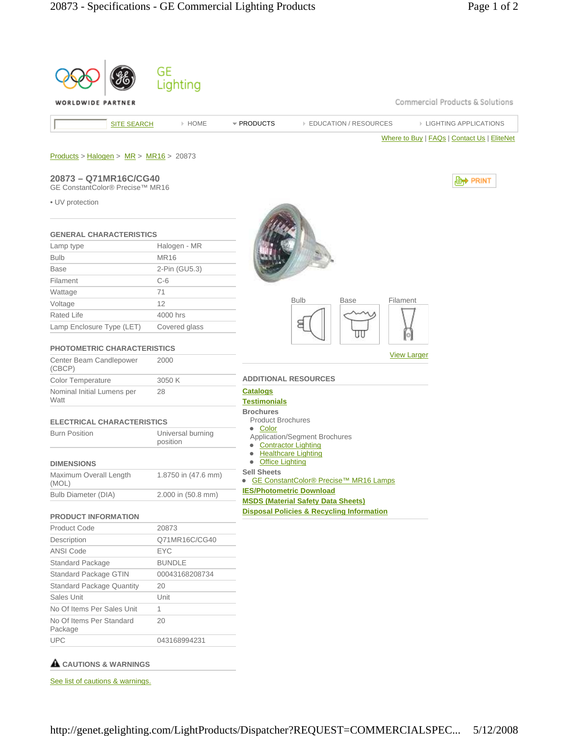| WORLDWIDE PARTNER                                             | Lighting            |                                                           |                                                      | Commercial Products & Solutions             |
|---------------------------------------------------------------|---------------------|-----------------------------------------------------------|------------------------------------------------------|---------------------------------------------|
| <b>SITE SEARCH</b>                                            | » HOME              | * PRODUCTS                                                | <b>EDUCATION / RESOURCES</b>                         | <b>EIGHTING APPLICATIONS</b>                |
|                                                               |                     |                                                           |                                                      | Where to Buy   FAQs   Contact Us   EliteNet |
|                                                               |                     |                                                           |                                                      |                                             |
| $Products > Halogen > MR > MR16 > 20873$                      |                     |                                                           |                                                      |                                             |
|                                                               |                     |                                                           |                                                      |                                             |
| 20873 - Q71MR16C/CG40<br>GE ConstantColor® Precise™ MR16      |                     |                                                           |                                                      | , <b>Lett</b> PRINT                         |
|                                                               |                     |                                                           |                                                      |                                             |
| • UV protection                                               |                     |                                                           |                                                      |                                             |
|                                                               |                     |                                                           |                                                      |                                             |
| <b>GENERAL CHARACTERISTICS</b>                                |                     |                                                           |                                                      |                                             |
| Lamp type                                                     | Halogen - MR        |                                                           |                                                      |                                             |
| <b>Bulb</b>                                                   | <b>MR16</b>         |                                                           |                                                      |                                             |
| <b>Base</b>                                                   | 2-Pin (GU5.3)       |                                                           |                                                      |                                             |
| Filament                                                      | $C-6$               |                                                           |                                                      |                                             |
| Wattage                                                       | 71                  |                                                           |                                                      |                                             |
| Voltage                                                       | 12                  |                                                           | <b>Bulb</b><br>Base<br>Filament                      |                                             |
| Rated Life                                                    | 4000 hrs            |                                                           |                                                      |                                             |
| Lamp Enclosure Type (LET)                                     | Covered glass       |                                                           |                                                      |                                             |
|                                                               |                     |                                                           |                                                      |                                             |
| <b>PHOTOMETRIC CHARACTERISTICS</b><br>Center Beam Candlepower | 2000                |                                                           |                                                      | <b>View Larger</b>                          |
| (CBCP)                                                        |                     |                                                           |                                                      |                                             |
| Color Temperature                                             | 3050 K              |                                                           | <b>ADDITIONAL RESOURCES</b>                          |                                             |
| Nominal Initial Lumens per                                    | 28                  | <b>Catalogs</b>                                           |                                                      |                                             |
| Watt                                                          |                     | <b>Testimonials</b>                                       |                                                      |                                             |
| <b>ELECTRICAL CHARACTERISTICS</b>                             |                     | <b>Brochures</b><br><b>Product Brochures</b>              |                                                      |                                             |
| <b>Burn Position</b>                                          | Universal burning   | • Color                                                   |                                                      |                                             |
|                                                               | position            | • Contractor Lighting                                     | Application/Segment Brochures                        |                                             |
|                                                               |                     |                                                           | <b>Healthcare Lighting</b>                           |                                             |
| <b>DIMENSIONS</b>                                             |                     | <b>Office Lighting</b><br>$\bullet$<br><b>Sell Sheets</b> |                                                      |                                             |
| Maximum Overall Length<br>(MOL)                               | 1.8750 in (47.6 mm) |                                                           | ● GE ConstantColor® Precise™ MR16 Lamps              |                                             |
| Bulb Diameter (DIA)                                           | 2.000 in (50.8 mm)  |                                                           | <b>IES/Photometric Download</b>                      |                                             |
|                                                               |                     |                                                           | <b>MSDS (Material Safety Data Sheets)</b>            |                                             |
| <b>PRODUCT INFORMATION</b>                                    |                     |                                                           | <b>Disposal Policies &amp; Recycling Information</b> |                                             |
| <b>Product Code</b>                                           | 20873               |                                                           |                                                      |                                             |
| Description                                                   | Q71MR16C/CG40       |                                                           |                                                      |                                             |
| ANSI Code                                                     | EYC                 |                                                           |                                                      |                                             |
| Standard Package                                              | <b>BUNDLE</b>       |                                                           |                                                      |                                             |
| Standard Package GTIN                                         | 00043168208734      |                                                           |                                                      |                                             |
| <b>Standard Package Quantity</b>                              | 20                  |                                                           |                                                      |                                             |
| Sales Unit                                                    | Unit                |                                                           |                                                      |                                             |
| No Of Items Per Sales Unit                                    | 1                   |                                                           |                                                      |                                             |
| No Of Items Per Standard<br>Package                           | 20                  |                                                           |                                                      |                                             |
|                                                               |                     |                                                           |                                                      |                                             |

## See list of cautions & warnings.